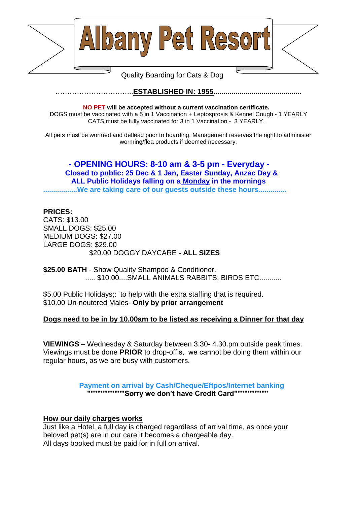



# Quality Boarding for Cats & Dog

### …………………………...**ESTABLISHED IN: 1955**............................................

#### **NO PET will be accepted without a current vaccination certificate.**

DOGS must be vaccinated with a 5 in 1 Vaccination + Leptosprosis & Kennel Cough - 1 YEARLY CATS must be fully vaccinated for 3 in 1 Vaccination - 3 YEARLY.

All pets must be wormed and deflead prior to boarding. Management reserves the right to administer worming/flea products if deemed necessary.

### **- OPENING HOURS: 8-10 am & 3-5 pm - Everyday - Closed to public: 25 Dec & 1 Jan, Easter Sunday, Anzac Day & ALL Public Holidays falling on a Monday in the mornings .................We are taking care of our guests outside these hours..............**

### **PRICES:**

CATS: \$13.00 SMALL DOGS: \$25.00 MEDIUM DOGS: \$27.00 LARGE DOGS: \$29.00 \$20.00 DOGGY DAYCARE **- ALL SIZES**

**\$25.00 BATH** - Show Quality Shampoo & Conditioner. ..... \$10.00....SMALL ANIMALS RABBITS, BIRDS ETC...........

\$5.00 Public Holidays;: to help with the extra staffing that is required. \$10.00 Un-neutered Males- **Only by prior arrangement**

### **Dogs need to be in by 10.00am to be listed as receiving a Dinner for that day**

**VIEWINGS** – Wednesday & Saturday between 3.30- 4.30.pm outside peak times. Viewings must be done **PRIOR** to drop-off's, we cannot be doing them within our regular hours, as we are busy with customers.

#### **Payment on arrival by Cash/Cheque/Eftpos/Internet banking """""""""""Sorry we don't have Credit Card""""""""""**

#### **How our daily charges works**

Just like a Hotel, a full day is charged regardless of arrival time, as once your beloved pet(s) are in our care it becomes a chargeable day. All days booked must be paid for in full on arrival.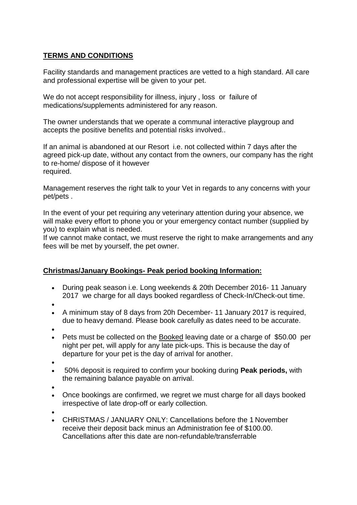# **TERMS AND CONDITIONS**

Facility standards and management practices are vetted to a high standard. All care and professional expertise will be given to your pet.

We do not accept responsibility for illness, injury, loss or failure of medications/supplements administered for any reason.

The owner understands that we operate a communal interactive playgroup and accepts the positive benefits and potential risks involved..

If an animal is abandoned at our Resort i.e. not collected within 7 days after the agreed pick-up date, without any contact from the owners, our company has the right to re-home/ dispose of it however required.

Management reserves the right talk to your Vet in regards to any concerns with your pet/pets .

In the event of your pet requiring any veterinary attention during your absence, we will make every effort to phone you or your emergency contact number (supplied by you) to explain what is needed.

If we cannot make contact, we must reserve the right to make arrangements and any fees will be met by yourself, the pet owner.

## **Christmas/January Bookings- Peak period booking Information:**

- During peak season i.e. Long weekends & 20th December 2016- 11 January 2017 we charge for all days booked regardless of Check-In/Check-out time.
- $\bullet$
- A minimum stay of 8 days from 20h December- 11 January 2017 is required, due to heavy demand. Please book carefully as dates need to be accurate.
- $\bullet$
- Pets must be collected on the Booked leaving date or a charge of \$50.00 per night per pet, will apply for any late pick-ups. This is because the day of departure for your pet is the day of arrival for another.
- $\bullet$
- 50% deposit is required to confirm your booking during **Peak periods,** with the remaining balance payable on arrival.
- $\bullet$
- Once bookings are confirmed, we regret we must charge for all days booked irrespective of late drop-off or early collection.
- $\bullet$
- CHRISTMAS / JANUARY ONLY: Cancellations before the 1 November receive their deposit back minus an Administration fee of \$100.00. Cancellations after this date are non-refundable/transferrable